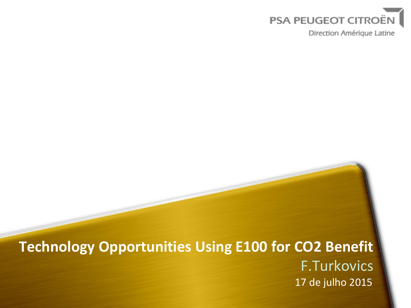

Direction Amérique Latine

# **Technology Opportunities Using E100 for CO2 Benefit** F.Turkovics 17 de julho 2015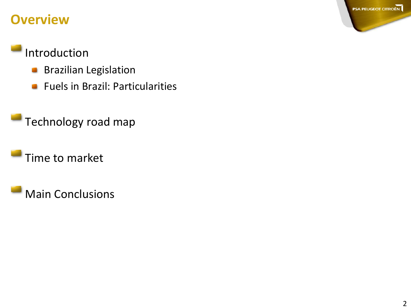#### **Overview**

### Introduction

- Brazilian Legislation  $\mathcal{L}_{\text{max}}$
- Fuels in Brazil: Particularities  $\mathcal{L}_{\text{max}}$

Technology road map

Time to market

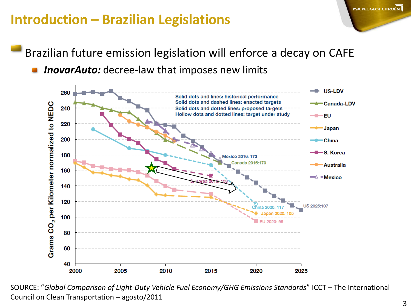## **Introduction – Brazilian Legislations**

Brazilian future emission legislation will enforce a decay on CAFE

*InovarAuto:* decree-law that imposes new limits



SOURCE: "*Global Comparison of Light-Duty Vehicle Fuel Economy/GHG Emissions Standards*" ICCT – The International Council on Clean Transportation – agosto/2011

**PSA PEUGEOT CITROËN**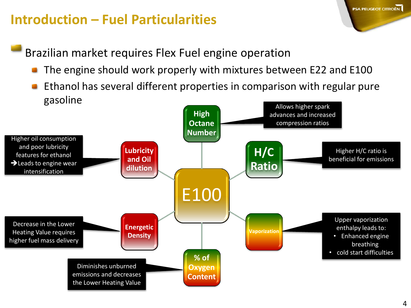## **Introduction – Fuel Particularities**

Brazilian market requires Flex Fuel engine operation

- The engine should work properly with mixtures between E22 and E100
- Ethanol has several different properties in comparison with regular pure gasoline Allows higher spark



**PSA PEUGEOT CITROËN**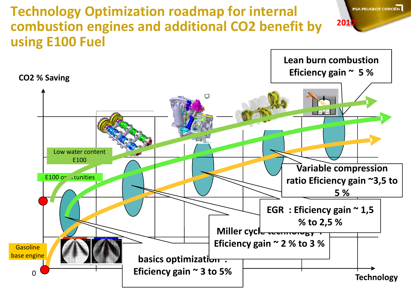#### **Technology Optimization roadmap for internal combustion engines and additional CO2 benefit by using E100 Fuel**



**PSA PEUGEOT CITROËN** 

**2010**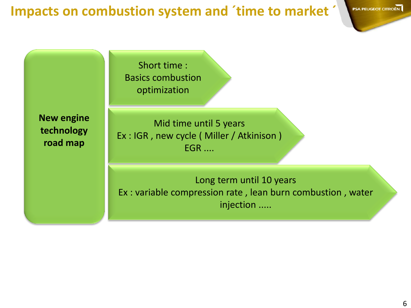#### **Impacts on combustion system and ´time to market ´**

Short time : Basics combustion optimization

**New engine technology road map** 

Mid time until 5 years Ex : IGR , new cycle ( Miller / Atkinison ) EGR ....

Long term until 10 years Ex : variable compression rate , lean burn combustion , water injection .....